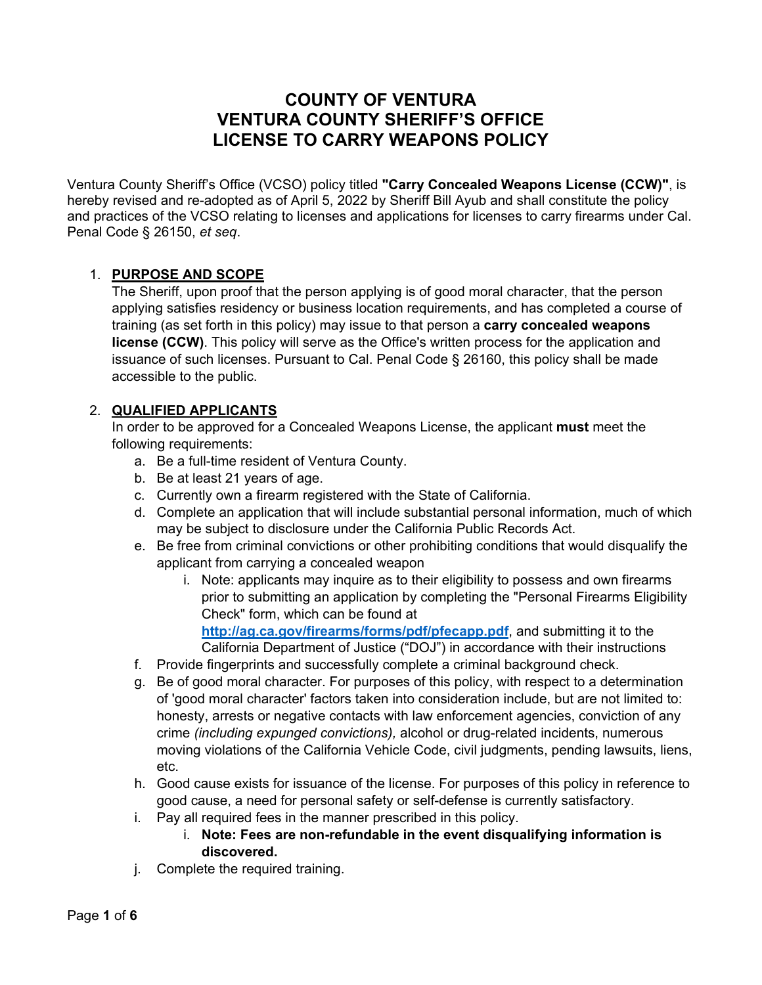# **COUNTY OF VENTURA VENTURA COUNTY SHERIFF'S OFFICE LICENSE TO CARRY WEAPONS POLICY**

Ventura County Sheriff's Office (VCSO) policy titled **"Carry Concealed Weapons License (CCW)"**, is hereby revised and re-adopted as of April 5, 2022 by Sheriff Bill Ayub and shall constitute the policy and practices of the VCSO relating to licenses and applications for licenses to carry firearms under Cal. Penal Code § 26150, *et seq*.

#### 1. **PURPOSE AND SCOPE**

The Sheriff, upon proof that the person applying is of good moral character, that the person applying satisfies residency or business location requirements, and has completed a course of training (as set forth in this policy) may issue to that person a **carry concealed weapons license (CCW)**. This policy will serve as the Office's written process for the application and issuance of such licenses. Pursuant to Cal. Penal Code § 26160, this policy shall be made accessible to the public.

#### 2. **QUALIFIED APPLICANTS**

In order to be approved for a Concealed Weapons License, the applicant **must** meet the following requirements:

- a. Be a full-time resident of Ventura County.
- b. Be at least 21 years of age.
- c. Currently own a firearm registered with the State of California.
- d. Complete an application that will include substantial personal information, much of which may be subject to disclosure under the California Public Records Act.
- e. Be free from criminal convictions or other prohibiting conditions that would disqualify the applicant from carrying a concealed weapon
	- i. Note: applicants may inquire as to their eligibility to possess and own firearms prior to submitting an application by completing the "Personal Firearms Eligibility Check" form, which can be found at

**http://ag.ca.gov/firearms/forms/pdf/pfecapp.pdf**, and submitting it to the California Department of Justice ("DOJ") in accordance with their instructions

- f. Provide fingerprints and successfully complete a criminal background check.
- g. Be of good moral character. For purposes of this policy, with respect to a determination of 'good moral character' factors taken into consideration include, but are not limited to: honesty, arrests or negative contacts with law enforcement agencies, conviction of any crime *(including expunged convictions),* alcohol or drug-related incidents, numerous moving violations of the California Vehicle Code, civil judgments, pending lawsuits, liens, etc.
- h. Good cause exists for issuance of the license. For purposes of this policy in reference to good cause, a need for personal safety or self-defense is currently satisfactory.
- i. Pay all required fees in the manner prescribed in this policy.
	- i. **Note: Fees are non-refundable in the event disqualifying information is discovered.**
- j. Complete the required training.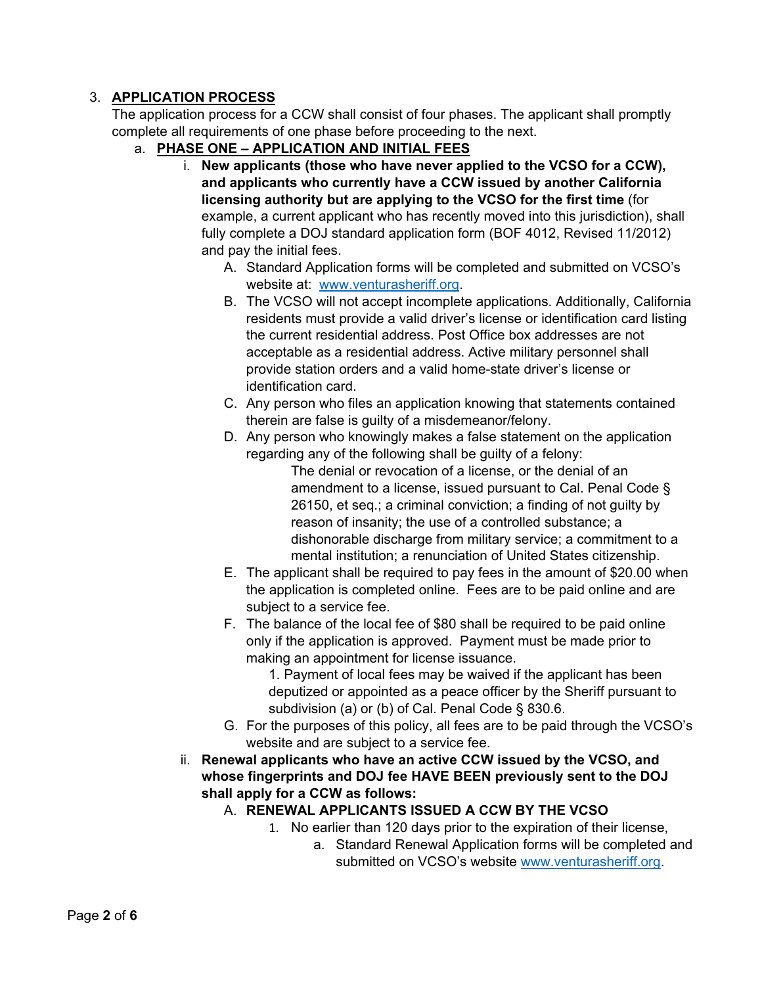#### 3. **APPLICATION PROCESS**

The application process for a CCW shall consist of four phases. The applicant shall promptly complete all requirements of one phase before proceeding to the next.

- a. **PHASE ONE APPLICATION AND INITIAL FEES** 
	- i. **New applicants (those who have never applied to the VCSO for a CCW), and applicants who currently have a CCW issued by another California licensing authority but are applying to the VCSO for the first time** (for example, a current applicant who has recently moved into this jurisdiction), shall fully complete a DOJ standard application form (BOF 4012, Revised 11/2012) and pay the initial fees.
		- A. Standard Application forms will be completed and submitted on VCSO's website at: www.venturasheriff.org.
		- B. The VCSO will not accept incomplete applications. Additionally, California residents must provide a valid driver's license or identification card listing the current residential address. Post Office box addresses are not acceptable as a residential address. Active military personnel shall provide station orders and a valid home-state driver's license or identification card.
		- C. Any person who files an application knowing that statements contained therein are false is guilty of a misdemeanor/felony.
		- D. Any person who knowingly makes a false statement on the application regarding any of the following shall be guilty of a felony:

The denial or revocation of a license, or the denial of an amendment to a license, issued pursuant to Cal. Penal Code § 26150, et seq.; a criminal conviction; a finding of not guilty by reason of insanity; the use of a controlled substance; a dishonorable discharge from military service; a commitment to a mental institution; a renunciation of United States citizenship.

- E. The applicant shall be required to pay fees in the amount of \$20.00 when the application is completed online. Fees are to be paid online and are subject to a service fee.
- F. The balance of the local fee of \$80 shall be required to be paid online only if the application is approved. Payment must be made prior to making an appointment for license issuance.

1. Payment of local fees may be waived if the applicant has been deputized or appointed as a peace officer by the Sheriff pursuant to subdivision (a) or (b) of Cal. Penal Code § 830.6.

- G. For the purposes of this policy, all fees are to be paid through the VCSO's website and are subject to a service fee.
- ii. **Renewal applicants who have an active CCW issued by the VCSO, and whose fingerprints and DOJ fee HAVE BEEN previously sent to the DOJ shall apply for a CCW as follows:** 
	- A. **RENEWAL APPLICANTS ISSUED A CCW BY THE VCSO** 
		- 1. No earlier than 120 days prior to the expiration of their license,
			- a. Standard Renewal Application forms will be completed and submitted on VCSO's website www.venturasheriff.org.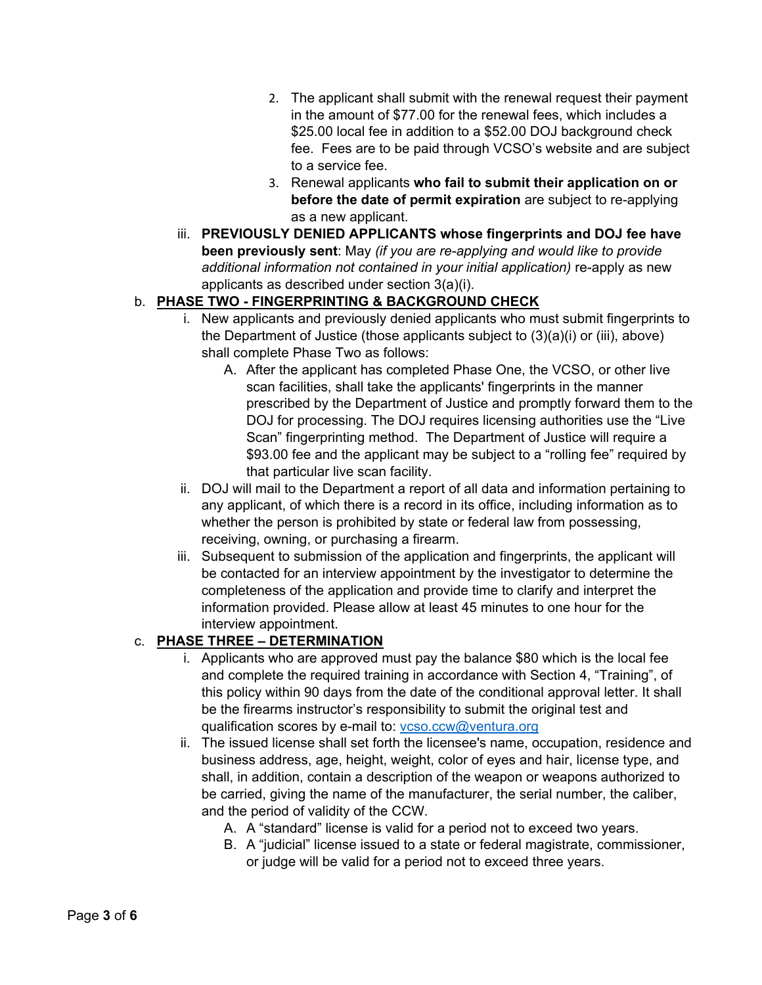- 2. The applicant shall submit with the renewal request their payment in the amount of \$77.00 for the renewal fees, which includes a \$25.00 local fee in addition to a \$52.00 DOJ background check fee. Fees are to be paid through VCSO's website and are subject to a service fee.
- 3. Renewal applicants **who fail to submit their application on or before the date of permit expiration** are subject to re-applying as a new applicant.
- iii. **PREVIOUSLY DENIED APPLICANTS whose fingerprints and DOJ fee have been previously sent**: May *(if you are re-applying and would like to provide*  additional information not contained in your initial application) re-apply as new applicants as described under section 3(a)(i).

## b. **PHASE TWO - FINGERPRINTING & BACKGROUND CHECK**

- i. New applicants and previously denied applicants who must submit fingerprints to the Department of Justice (those applicants subject to (3)(a)(i) or (iii), above) shall complete Phase Two as follows:
	- A. After the applicant has completed Phase One, the VCSO, or other live scan facilities, shall take the applicants' fingerprints in the manner prescribed by the Department of Justice and promptly forward them to the DOJ for processing. The DOJ requires licensing authorities use the "Live Scan" fingerprinting method. The Department of Justice will require a \$93.00 fee and the applicant may be subject to a "rolling fee" required by that particular live scan facility.
- ii. DOJ will mail to the Department a report of all data and information pertaining to any applicant, of which there is a record in its office, including information as to whether the person is prohibited by state or federal law from possessing, receiving, owning, or purchasing a firearm.
- iii. Subsequent to submission of the application and fingerprints, the applicant will be contacted for an interview appointment by the investigator to determine the completeness of the application and provide time to clarify and interpret the information provided. Please allow at least 45 minutes to one hour for the interview appointment.

# c. **PHASE THREE – DETERMINATION**

- i. Applicants who are approved must pay the balance \$80 which is the local fee and complete the required training in accordance with Section 4, "Training", of this policy within 90 days from the date of the conditional approval letter. It shall be the firearms instructor's responsibility to submit the original test and qualification scores by e-mail to: vcso.ccw@ventura.org
- ii. The issued license shall set forth the licensee's name, occupation, residence and business address, age, height, weight, color of eyes and hair, license type, and shall, in addition, contain a description of the weapon or weapons authorized to be carried, giving the name of the manufacturer, the serial number, the caliber, and the period of validity of the CCW.
	- A. A "standard" license is valid for a period not to exceed two years.
	- B. A "judicial" license issued to a state or federal magistrate, commissioner, or judge will be valid for a period not to exceed three years.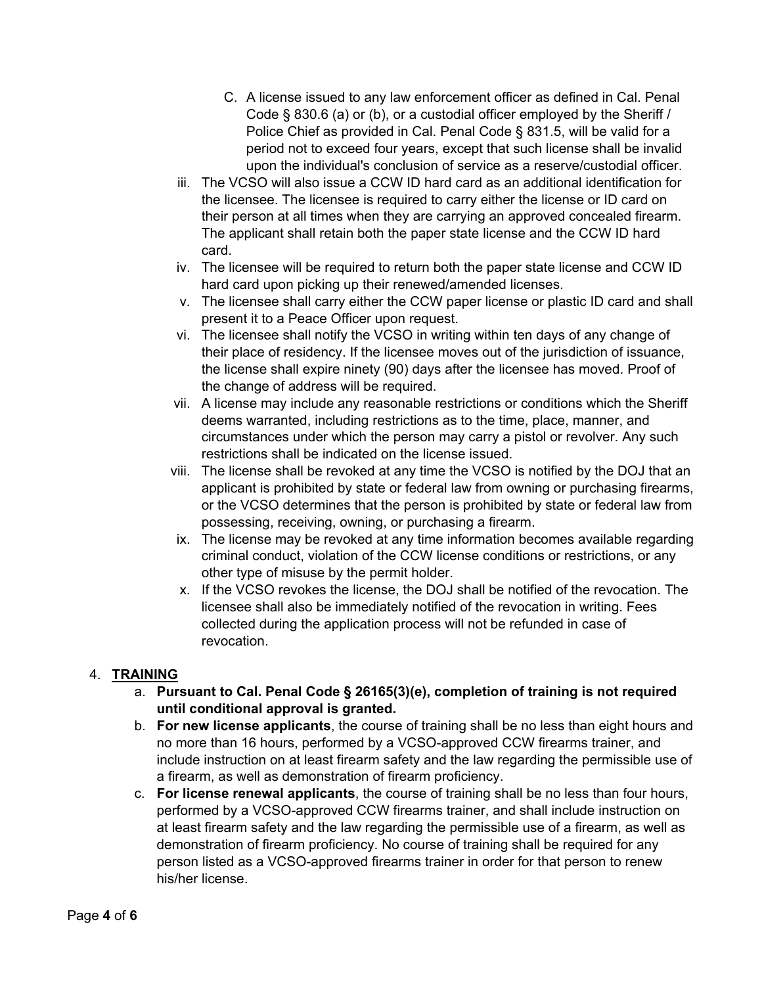- C. A license issued to any law enforcement officer as defined in Cal. Penal Code § 830.6 (a) or (b), or a custodial officer employed by the Sheriff / Police Chief as provided in Cal. Penal Code § 831.5, will be valid for a period not to exceed four years, except that such license shall be invalid upon the individual's conclusion of service as a reserve/custodial officer.
- iii. The VCSO will also issue a CCW ID hard card as an additional identification for the licensee. The licensee is required to carry either the license or ID card on their person at all times when they are carrying an approved concealed firearm. The applicant shall retain both the paper state license and the CCW ID hard card.
- iv. The licensee will be required to return both the paper state license and CCW ID hard card upon picking up their renewed/amended licenses.
- v. The licensee shall carry either the CCW paper license or plastic ID card and shall present it to a Peace Officer upon request.
- vi. The licensee shall notify the VCSO in writing within ten days of any change of their place of residency. If the licensee moves out of the jurisdiction of issuance, the license shall expire ninety (90) days after the licensee has moved. Proof of the change of address will be required.
- vii. A license may include any reasonable restrictions or conditions which the Sheriff deems warranted, including restrictions as to the time, place, manner, and circumstances under which the person may carry a pistol or revolver. Any such restrictions shall be indicated on the license issued.
- viii. The license shall be revoked at any time the VCSO is notified by the DOJ that an applicant is prohibited by state or federal law from owning or purchasing firearms, or the VCSO determines that the person is prohibited by state or federal law from possessing, receiving, owning, or purchasing a firearm.
- ix. The license may be revoked at any time information becomes available regarding criminal conduct, violation of the CCW license conditions or restrictions, or any other type of misuse by the permit holder.
- x. If the VCSO revokes the license, the DOJ shall be notified of the revocation. The licensee shall also be immediately notified of the revocation in writing. Fees collected during the application process will not be refunded in case of revocation.

#### 4. **TRAINING**

- a. **Pursuant to Cal. Penal Code § 26165(3)(e), completion of training is not required until conditional approval is granted.**
- b. **For new license applicants**, the course of training shall be no less than eight hours and no more than 16 hours, performed by a VCSO-approved CCW firearms trainer, and include instruction on at least firearm safety and the law regarding the permissible use of a firearm, as well as demonstration of firearm proficiency.
- c. **For license renewal applicants**, the course of training shall be no less than four hours, performed by a VCSO-approved CCW firearms trainer, and shall include instruction on at least firearm safety and the law regarding the permissible use of a firearm, as well as demonstration of firearm proficiency. No course of training shall be required for any person listed as a VCSO-approved firearms trainer in order for that person to renew his/her license.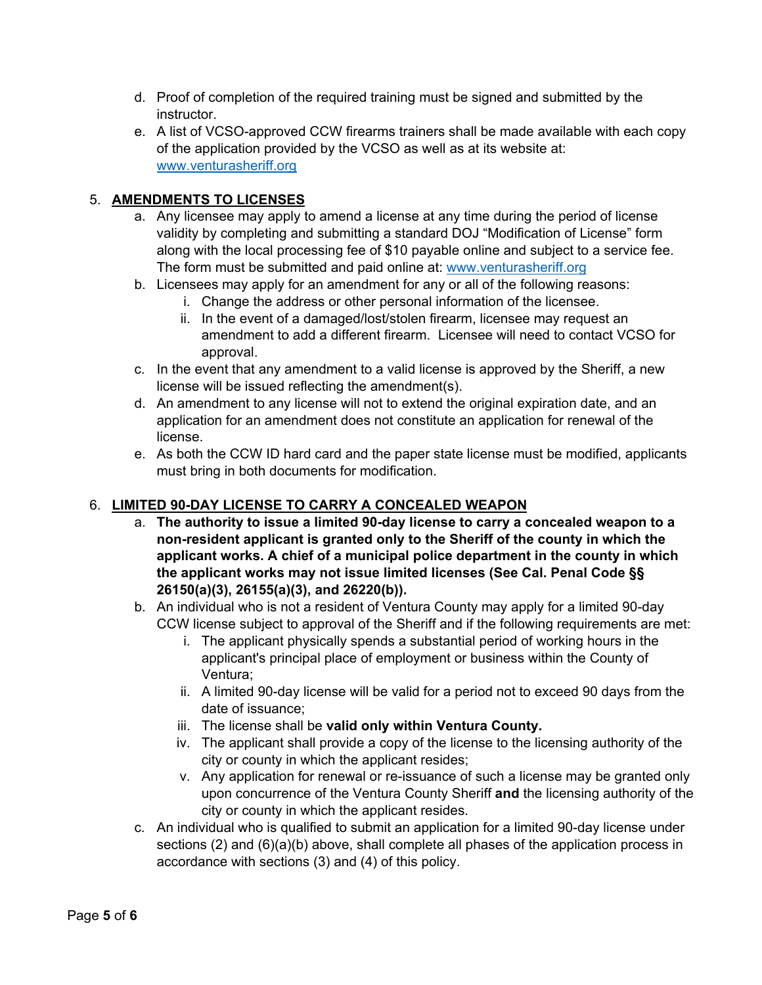- d. Proof of completion of the required training must be signed and submitted by the instructor.
- e. A list of VCSO-approved CCW firearms trainers shall be made available with each copy of the application provided by the VCSO as well as at its website at: www.venturasheriff.org

### 5. **AMENDMENTS TO LICENSES**

- a. Any licensee may apply to amend a license at any time during the period of license validity by completing and submitting a standard DOJ "Modification of License" form along with the local processing fee of \$10 payable online and subject to a service fee. The form must be submitted and paid online at: www.venturasheriff.org
- b. Licensees may apply for an amendment for any or all of the following reasons:
	- i. Change the address or other personal information of the licensee.
		- ii. In the event of a damaged/lost/stolen firearm, licensee may request an amendment to add a different firearm. Licensee will need to contact VCSO for approval.
- c. In the event that any amendment to a valid license is approved by the Sheriff, a new license will be issued reflecting the amendment(s).
- d. An amendment to any license will not to extend the original expiration date, and an application for an amendment does not constitute an application for renewal of the license.
- e. As both the CCW ID hard card and the paper state license must be modified, applicants must bring in both documents for modification.

# 6. **LIMITED 90-DAY LICENSE TO CARRY A CONCEALED WEAPON**

- a. **The authority to issue a limited 90-day license to carry a concealed weapon to a non-resident applicant is granted only to the Sheriff of the county in which the applicant works. A chief of a municipal police department in the county in which the applicant works may not issue limited licenses (See Cal. Penal Code §§ 26150(a)(3), 26155(a)(3), and 26220(b)).**
- b. An individual who is not a resident of Ventura County may apply for a limited 90-day CCW license subject to approval of the Sheriff and if the following requirements are met:
	- i. The applicant physically spends a substantial period of working hours in the applicant's principal place of employment or business within the County of Ventura;
	- ii. A limited 90-day license will be valid for a period not to exceed 90 days from the date of issuance;
	- iii. The license shall be **valid only within Ventura County.**
	- iv. The applicant shall provide a copy of the license to the licensing authority of the city or county in which the applicant resides;
	- v. Any application for renewal or re-issuance of such a license may be granted only upon concurrence of the Ventura County Sheriff **and** the licensing authority of the city or county in which the applicant resides.
- c. An individual who is qualified to submit an application for a limited 90-day license under sections (2) and (6)(a)(b) above, shall complete all phases of the application process in accordance with sections (3) and (4) of this policy.